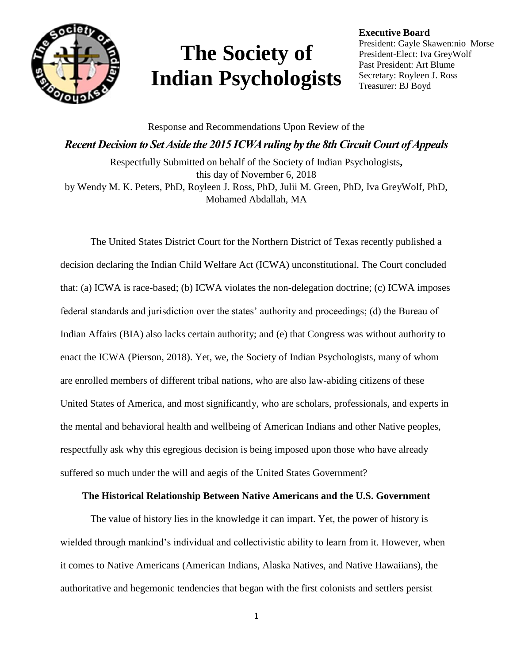

**Executive Board**

President: Gayle Skawen:nio Morse President-Elect: Iva GreyWolf Past President: Art Blume Secretary: Royleen J. Ross Treasurer: BJ Boyd

Response and Recommendations Upon Review of the

*Recent Decision to Set Aside the 2015 ICWA ruling by the 8th Circuit Court of Appeals* Respectfully Submitted on behalf of the Society of Indian Psychologists**,** this day of November 6, 2018 by Wendy M. K. Peters, PhD, Royleen J. Ross, PhD, Julii M. Green, PhD, Iva GreyWolf, PhD, Mohamed Abdallah, MA

The United States District Court for the Northern District of Texas recently published a decision declaring the Indian Child Welfare Act (ICWA) unconstitutional. The Court concluded that: (a) ICWA is race-based; (b) ICWA violates the non-delegation doctrine; (c) ICWA imposes federal standards and jurisdiction over the states' authority and proceedings; (d) the Bureau of Indian Affairs (BIA) also lacks certain authority; and (e) that Congress was without authority to enact the ICWA (Pierson, 2018). Yet, we, the Society of Indian Psychologists, many of whom are enrolled members of different tribal nations, who are also law-abiding citizens of these United States of America, and most significantly, who are scholars, professionals, and experts in the mental and behavioral health and wellbeing of American Indians and other Native peoples, respectfully ask why this egregious decision is being imposed upon those who have already suffered so much under the will and aegis of the United States Government?

#### **The Historical Relationship Between Native Americans and the U.S. Government**

The value of history lies in the knowledge it can impart. Yet, the power of history is wielded through mankind's individual and collectivistic ability to learn from it. However, when it comes to Native Americans (American Indians, Alaska Natives, and Native Hawaiians), the authoritative and hegemonic tendencies that began with the first colonists and settlers persist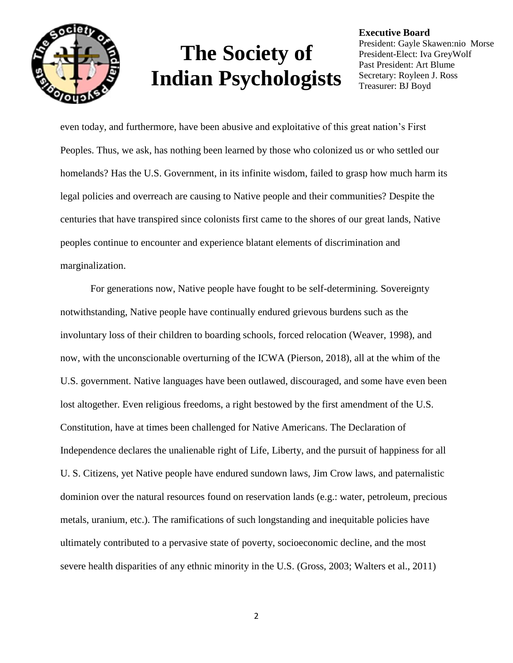

**Executive Board** President: Gayle Skawen:nio Morse President-Elect: Iva GreyWolf Past President: Art Blume Secretary: Royleen J. Ross Treasurer: BJ Boyd

even today, and furthermore, have been abusive and exploitative of this great nation's First Peoples. Thus, we ask, has nothing been learned by those who colonized us or who settled our homelands? Has the U.S. Government, in its infinite wisdom, failed to grasp how much harm its legal policies and overreach are causing to Native people and their communities? Despite the centuries that have transpired since colonists first came to the shores of our great lands, Native peoples continue to encounter and experience blatant elements of discrimination and marginalization.

For generations now, Native people have fought to be self-determining. Sovereignty notwithstanding, Native people have continually endured grievous burdens such as the involuntary loss of their children to boarding schools, forced relocation (Weaver, 1998), and now, with the unconscionable overturning of the ICWA (Pierson, 2018), all at the whim of the U.S. government. Native languages have been outlawed, discouraged, and some have even been lost altogether. Even religious freedoms, a right bestowed by the first amendment of the U.S. Constitution, have at times been challenged for Native Americans. The Declaration of Independence declares the unalienable right of Life, Liberty, and the pursuit of happiness for all U. S. Citizens, yet Native people have endured sundown laws, Jim Crow laws, and paternalistic dominion over the natural resources found on reservation lands (e.g.: water, petroleum, precious metals, uranium, etc.). The ramifications of such longstanding and inequitable policies have ultimately contributed to a pervasive state of poverty, socioeconomic decline, and the most severe health disparities of any ethnic minority in the U.S. (Gross, 2003; Walters et al., 2011)

2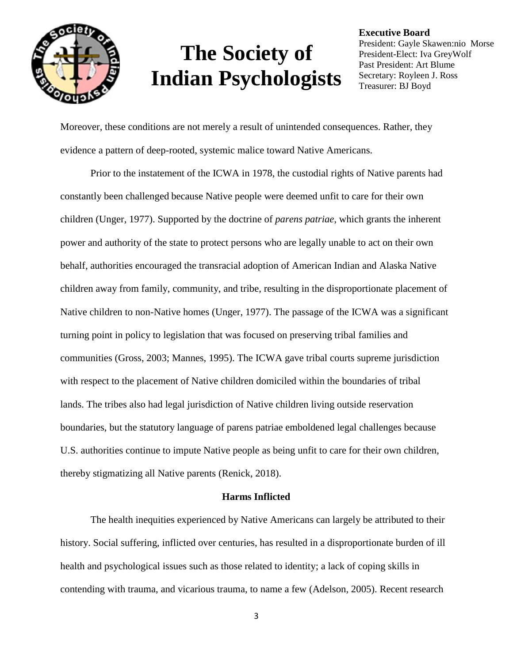

**Executive Board**

President: Gayle Skawen:nio Morse President-Elect: Iva GreyWolf Past President: Art Blume Secretary: Royleen J. Ross Treasurer: BJ Boyd

Moreover, these conditions are not merely a result of unintended consequences. Rather, they evidence a pattern of deep-rooted, systemic malice toward Native Americans.

Prior to the instatement of the ICWA in 1978, the custodial rights of Native parents had constantly been challenged because Native people were deemed unfit to care for their own children (Unger, 1977). Supported by the doctrine of *parens patriae*, which grants the inherent power and authority of the state to protect persons who are legally unable to act on their own behalf, authorities encouraged the transracial adoption of American Indian and Alaska Native children away from family, community, and tribe, resulting in the disproportionate placement of Native children to non-Native homes (Unger, 1977). The passage of the ICWA was a significant turning point in policy to legislation that was focused on preserving tribal families and communities (Gross, 2003; Mannes, 1995). The ICWA gave tribal courts supreme jurisdiction with respect to the placement of Native children domiciled within the boundaries of tribal lands. The tribes also had legal jurisdiction of Native children living outside reservation boundaries, but the statutory language of parens patriae emboldened legal challenges because U.S. authorities continue to impute Native people as being unfit to care for their own children, thereby stigmatizing all Native parents (Renick, 2018).

#### **Harms Inflicted**

The health inequities experienced by Native Americans can largely be attributed to their history. Social suffering, inflicted over centuries, has resulted in a disproportionate burden of ill health and psychological issues such as those related to identity; a lack of coping skills in contending with trauma, and vicarious trauma, to name a few (Adelson, 2005). Recent research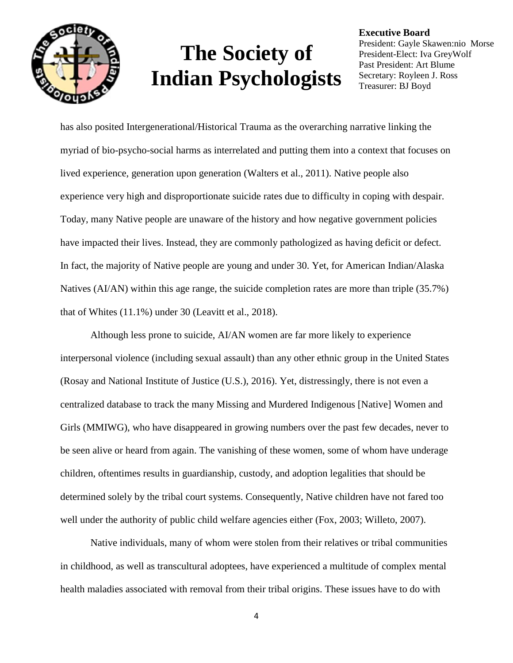

**Executive Board**

President: Gayle Skawen:nio Morse President-Elect: Iva GreyWolf Past President: Art Blume Secretary: Royleen J. Ross Treasurer: BJ Boyd

has also posited Intergenerational/Historical Trauma as the overarching narrative linking the myriad of bio-psycho-social harms as interrelated and putting them into a context that focuses on lived experience, generation upon generation (Walters et al., 2011). Native people also experience very high and disproportionate suicide rates due to difficulty in coping with despair. Today, many Native people are unaware of the history and how negative government policies have impacted their lives. Instead, they are commonly pathologized as having deficit or defect. In fact, the majority of Native people are young and under 30. Yet, for American Indian/Alaska Natives (AI/AN) within this age range, the suicide completion rates are more than triple (35.7%) that of Whites (11.1%) under 30 (Leavitt et al., 2018).

Although less prone to suicide, AI/AN women are far more likely to experience interpersonal violence (including sexual assault) than any other ethnic group in the United States (Rosay and National Institute of Justice (U.S.), 2016). Yet, distressingly, there is not even a centralized database to track the many Missing and Murdered Indigenous [Native] Women and Girls (MMIWG), who have disappeared in growing numbers over the past few decades, never to be seen alive or heard from again. The vanishing of these women, some of whom have underage children, oftentimes results in guardianship, custody, and adoption legalities that should be determined solely by the tribal court systems. Consequently, Native children have not fared too well under the authority of public child welfare agencies either (Fox, 2003; Willeto, 2007).

Native individuals, many of whom were stolen from their relatives or tribal communities in childhood, as well as transcultural adoptees, have experienced a multitude of complex mental health maladies associated with removal from their tribal origins. These issues have to do with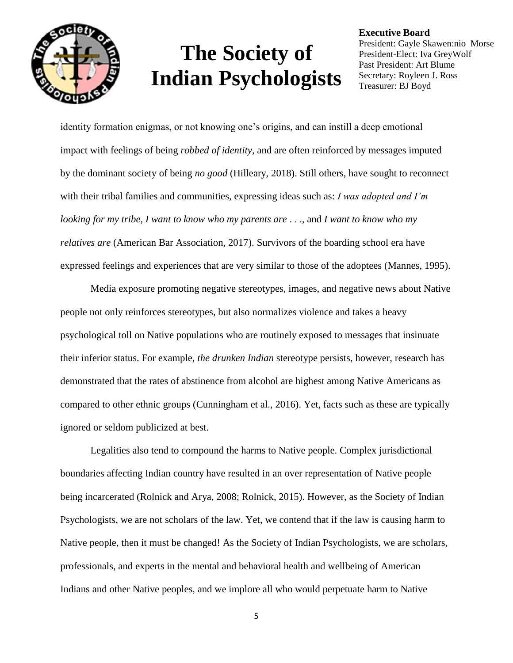

**Executive Board**

President: Gayle Skawen:nio Morse President-Elect: Iva GreyWolf Past President: Art Blume Secretary: Royleen J. Ross Treasurer: BJ Boyd

identity formation enigmas, or not knowing one's origins, and can instill a deep emotional impact with feelings of being *robbed of identity*, and are often reinforced by messages imputed by the dominant society of being *no good* (Hilleary, 2018). Still others, have sought to reconnect with their tribal families and communities, expressing ideas such as: *I was adopted and I'm looking for my tribe*, *I want to know who my parents are* . . ., and *I want to know who my relatives are* (American Bar Association, 2017). Survivors of the boarding school era have expressed feelings and experiences that are very similar to those of the adoptees (Mannes, 1995).

Media exposure promoting negative stereotypes, images, and negative news about Native people not only reinforces stereotypes, but also normalizes violence and takes a heavy psychological toll on Native populations who are routinely exposed to messages that insinuate their inferior status. For example, *the drunken Indian* stereotype persists, however, research has demonstrated that the rates of abstinence from alcohol are highest among Native Americans as compared to other ethnic groups (Cunningham et al., 2016). Yet, facts such as these are typically ignored or seldom publicized at best.

Legalities also tend to compound the harms to Native people. Complex jurisdictional boundaries affecting Indian country have resulted in an over representation of Native people being incarcerated (Rolnick and Arya, 2008; Rolnick, 2015). However, as the Society of Indian Psychologists, we are not scholars of the law. Yet, we contend that if the law is causing harm to Native people, then it must be changed! As the Society of Indian Psychologists, we are scholars, professionals, and experts in the mental and behavioral health and wellbeing of American Indians and other Native peoples, and we implore all who would perpetuate harm to Native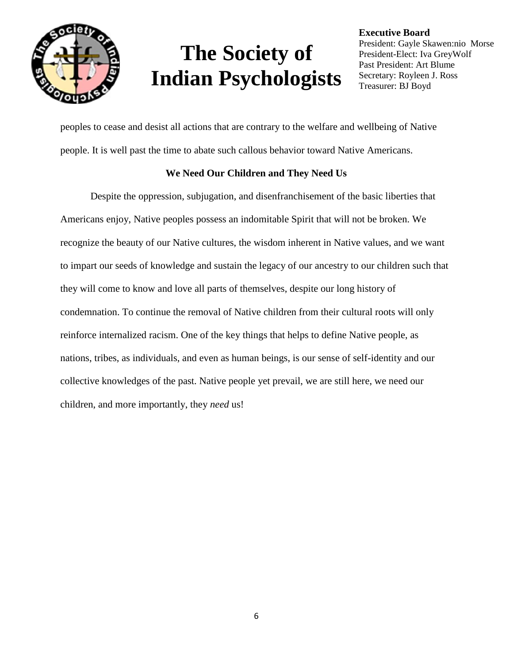

**Executive Board** President: Gayle Skawen:nio Morse President-Elect: Iva GreyWolf Past President: Art Blume Secretary: Royleen J. Ross Treasurer: BJ Boyd

peoples to cease and desist all actions that are contrary to the welfare and wellbeing of Native people. It is well past the time to abate such callous behavior toward Native Americans.

### **We Need Our Children and They Need Us**

Despite the oppression, subjugation, and disenfranchisement of the basic liberties that Americans enjoy, Native peoples possess an indomitable Spirit that will not be broken. We recognize the beauty of our Native cultures, the wisdom inherent in Native values, and we want to impart our seeds of knowledge and sustain the legacy of our ancestry to our children such that they will come to know and love all parts of themselves, despite our long history of condemnation. To continue the removal of Native children from their cultural roots will only reinforce internalized racism. One of the key things that helps to define Native people, as nations, tribes, as individuals, and even as human beings, is our sense of self-identity and our collective knowledges of the past. Native people yet prevail, we are still here, we need our children, and more importantly, they *need* us!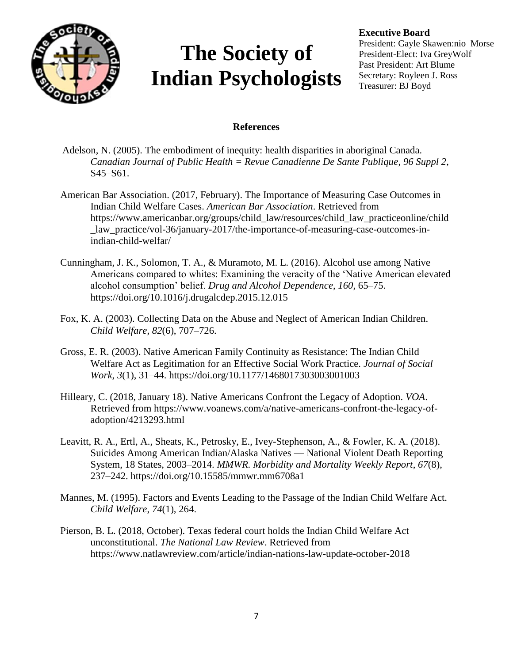

**Executive Board**

President: Gayle Skawen:nio Morse President-Elect: Iva GreyWolf Past President: Art Blume Secretary: Royleen J. Ross Treasurer: BJ Boyd

### **References**

- Adelson, N. (2005). The embodiment of inequity: health disparities in aboriginal Canada. *Canadian Journal of Public Health = Revue Canadienne De Sante Publique*, *96 Suppl 2*, S45–S61.
- American Bar Association. (2017, February). The Importance of Measuring Case Outcomes in Indian Child Welfare Cases. *American Bar Association*. Retrieved from https://www.americanbar.org/groups/child\_law/resources/child\_law\_practiceonline/child law\_practice/vol-36/january-2017/the-importance-of-measuring-case-outcomes-inindian-child-welfar/
- Cunningham, J. K., Solomon, T. A., & Muramoto, M. L. (2016). Alcohol use among Native Americans compared to whites: Examining the veracity of the 'Native American elevated alcohol consumption' belief. *Drug and Alcohol Dependence*, *160*, 65–75. https://doi.org/10.1016/j.drugalcdep.2015.12.015
- Fox, K. A. (2003). Collecting Data on the Abuse and Neglect of American Indian Children. *Child Welfare*, *82*(6), 707–726.
- Gross, E. R. (2003). Native American Family Continuity as Resistance: The Indian Child Welfare Act as Legitimation for an Effective Social Work Practice. *Journal of Social Work*, *3*(1), 31–44. https://doi.org/10.1177/1468017303003001003
- Hilleary, C. (2018, January 18). Native Americans Confront the Legacy of Adoption. *VOA*. Retrieved from https://www.voanews.com/a/native-americans-confront-the-legacy-ofadoption/4213293.html
- Leavitt, R. A., Ertl, A., Sheats, K., Petrosky, E., Ivey-Stephenson, A., & Fowler, K. A. (2018). Suicides Among American Indian/Alaska Natives — National Violent Death Reporting System, 18 States, 2003–2014. *MMWR. Morbidity and Mortality Weekly Report*, *67*(8), 237–242. https://doi.org/10.15585/mmwr.mm6708a1
- Mannes, M. (1995). Factors and Events Leading to the Passage of the Indian Child Welfare Act. *Child Welfare*, *74*(1), 264.
- Pierson, B. L. (2018, October). Texas federal court holds the Indian Child Welfare Act unconstitutional. *The National Law Review*. Retrieved from <https://www.natlawreview.com/article/indian-nations-law-update-october-2018>